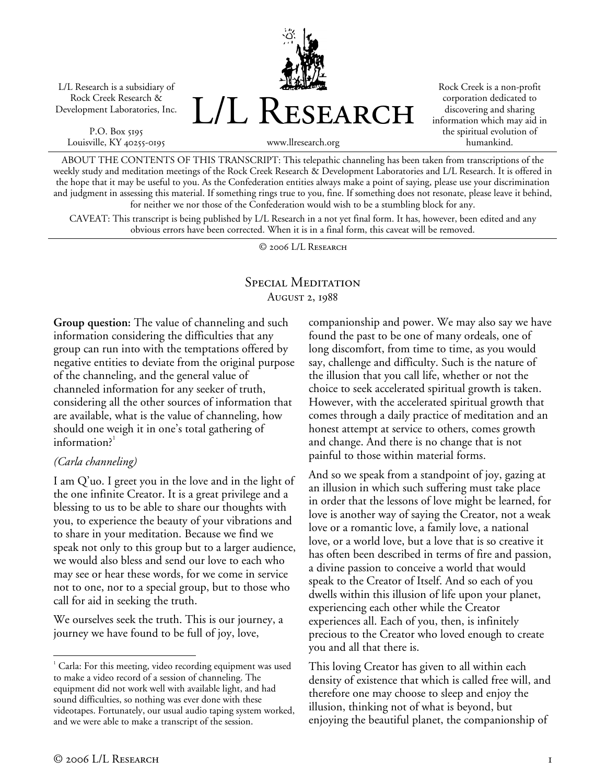L/L Research is a subsidiary of Rock Creek Research & Development Laboratories, Inc.

P.O. Box 5195 Louisville, KY 40255-0195



Rock Creek is a non-profit corporation dedicated to discovering and sharing information which may aid in the spiritual evolution of humankind.

www.llresearch.org

ABOUT THE CONTENTS OF THIS TRANSCRIPT: This telepathic channeling has been taken from transcriptions of the weekly study and meditation meetings of the Rock Creek Research & Development Laboratories and L/L Research. It is offered in the hope that it may be useful to you. As the Confederation entities always make a point of saying, please use your discrimination and judgment in assessing this material. If something rings true to you, fine. If something does not resonate, please leave it behind, for neither we nor those of the Confederation would wish to be a stumbling block for any.

CAVEAT: This transcript is being published by L/L Research in a not yet final form. It has, however, been edited and any obvious errors have been corrected. When it is in a final form, this caveat will be removed.

© 2006 L/L Research

## Special Meditation August 2, 1988

**Group question:** The value of channeling and such information considering the difficulties that any group can run into with the temptations offered by negative entities to deviate from the original purpose of the channeling, and the general value of channeled information for any seeker of truth, considering all the other sources of information that are available, what is the value of channeling, how should one weigh it in one's total gathering of information?<sup>1</sup>

### *(Carla channeling)*

I am Q'uo. I greet you in the love and in the light of the one infinite Creator. It is a great privilege and a blessing to us to be able to share our thoughts with you, to experience the beauty of your vibrations and to share in your meditation. Because we find we speak not only to this group but to a larger audience, we would also bless and send our love to each who may see or hear these words, for we come in service not to one, nor to a special group, but to those who call for aid in seeking the truth.

We ourselves seek the truth. This is our journey, a journey we have found to be full of joy, love,

companionship and power. We may also say we have found the past to be one of many ordeals, one of long discomfort, from time to time, as you would say, challenge and difficulty. Such is the nature of the illusion that you call life, whether or not the choice to seek accelerated spiritual growth is taken. However, with the accelerated spiritual growth that comes through a daily practice of meditation and an honest attempt at service to others, comes growth and change. And there is no change that is not painful to those within material forms.

And so we speak from a standpoint of joy, gazing at an illusion in which such suffering must take place in order that the lessons of love might be learned, for love is another way of saying the Creator, not a weak love or a romantic love, a family love, a national love, or a world love, but a love that is so creative it has often been described in terms of fire and passion, a divine passion to conceive a world that would speak to the Creator of Itself. And so each of you dwells within this illusion of life upon your planet, experiencing each other while the Creator experiences all. Each of you, then, is infinitely precious to the Creator who loved enough to create you and all that there is.

This loving Creator has given to all within each density of existence that which is called free will, and therefore one may choose to sleep and enjoy the illusion, thinking not of what is beyond, but enjoying the beautiful planet, the companionship of

 $\overline{a}$ 

<sup>&</sup>lt;sup>1</sup> Carla: For this meeting, video recording equipment was used to make a video record of a session of channeling. The equipment did not work well with available light, and had sound difficulties, so nothing was ever done with these videotapes. Fortunately, our usual audio taping system worked, and we were able to make a transcript of the session.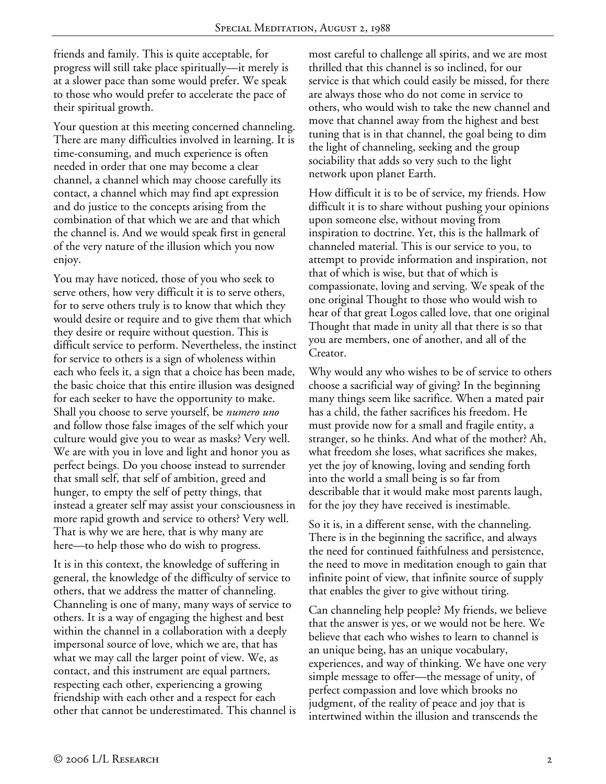friends and family. This is quite acceptable, for progress will still take place spiritually—it merely is at a slower pace than some would prefer. We speak to those who would prefer to accelerate the pace of their spiritual growth.

Your question at this meeting concerned channeling. There are many difficulties involved in learning. It is time-consuming, and much experience is often needed in order that one may become a clear channel, a channel which may choose carefully its contact, a channel which may find apt expression and do justice to the concepts arising from the combination of that which we are and that which the channel is. And we would speak first in general of the very nature of the illusion which you now enjoy.

You may have noticed, those of you who seek to serve others, how very difficult it is to serve others, for to serve others truly is to know that which they would desire or require and to give them that which they desire or require without question. This is difficult service to perform. Nevertheless, the instinct for service to others is a sign of wholeness within each who feels it, a sign that a choice has been made, the basic choice that this entire illusion was designed for each seeker to have the opportunity to make. Shall you choose to serve yourself, be *numero uno* and follow those false images of the self which your culture would give you to wear as masks? Very well. We are with you in love and light and honor you as perfect beings. Do you choose instead to surrender that small self, that self of ambition, greed and hunger, to empty the self of petty things, that instead a greater self may assist your consciousness in more rapid growth and service to others? Very well. That is why we are here, that is why many are here—to help those who do wish to progress.

It is in this context, the knowledge of suffering in general, the knowledge of the difficulty of service to others, that we address the matter of channeling. Channeling is one of many, many ways of service to others. It is a way of engaging the highest and best within the channel in a collaboration with a deeply impersonal source of love, which we are, that has what we may call the larger point of view. We, as contact, and this instrument are equal partners, respecting each other, experiencing a growing friendship with each other and a respect for each other that cannot be underestimated. This channel is most careful to challenge all spirits, and we are most thrilled that this channel is so inclined, for our service is that which could easily be missed, for there are always those who do not come in service to others, who would wish to take the new channel and move that channel away from the highest and best tuning that is in that channel, the goal being to dim the light of channeling, seeking and the group sociability that adds so very such to the light network upon planet Earth.

How difficult it is to be of service, my friends. How difficult it is to share without pushing your opinions upon someone else, without moving from inspiration to doctrine. Yet, this is the hallmark of channeled material. This is our service to you, to attempt to provide information and inspiration, not that of which is wise, but that of which is compassionate, loving and serving. We speak of the one original Thought to those who would wish to hear of that great Logos called love, that one original Thought that made in unity all that there is so that you are members, one of another, and all of the Creator.

Why would any who wishes to be of service to others choose a sacrificial way of giving? In the beginning many things seem like sacrifice. When a mated pair has a child, the father sacrifices his freedom. He must provide now for a small and fragile entity, a stranger, so he thinks. And what of the mother? Ah, what freedom she loses, what sacrifices she makes, yet the joy of knowing, loving and sending forth into the world a small being is so far from describable that it would make most parents laugh, for the joy they have received is inestimable.

So it is, in a different sense, with the channeling. There is in the beginning the sacrifice, and always the need for continued faithfulness and persistence, the need to move in meditation enough to gain that infinite point of view, that infinite source of supply that enables the giver to give without tiring.

Can channeling help people? My friends, we believe that the answer is yes, or we would not be here. We believe that each who wishes to learn to channel is an unique being, has an unique vocabulary, experiences, and way of thinking. We have one very simple message to offer—the message of unity, of perfect compassion and love which brooks no judgment, of the reality of peace and joy that is intertwined within the illusion and transcends the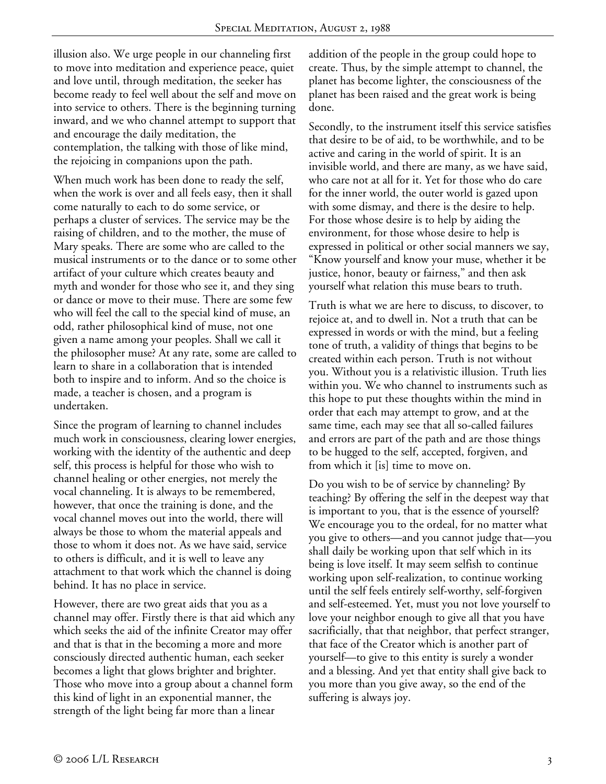illusion also. We urge people in our channeling first to move into meditation and experience peace, quiet and love until, through meditation, the seeker has become ready to feel well about the self and move on into service to others. There is the beginning turning inward, and we who channel attempt to support that and encourage the daily meditation, the contemplation, the talking with those of like mind, the rejoicing in companions upon the path.

When much work has been done to ready the self, when the work is over and all feels easy, then it shall come naturally to each to do some service, or perhaps a cluster of services. The service may be the raising of children, and to the mother, the muse of Mary speaks. There are some who are called to the musical instruments or to the dance or to some other artifact of your culture which creates beauty and myth and wonder for those who see it, and they sing or dance or move to their muse. There are some few who will feel the call to the special kind of muse, an odd, rather philosophical kind of muse, not one given a name among your peoples. Shall we call it the philosopher muse? At any rate, some are called to learn to share in a collaboration that is intended both to inspire and to inform. And so the choice is made, a teacher is chosen, and a program is undertaken.

Since the program of learning to channel includes much work in consciousness, clearing lower energies, working with the identity of the authentic and deep self, this process is helpful for those who wish to channel healing or other energies, not merely the vocal channeling. It is always to be remembered, however, that once the training is done, and the vocal channel moves out into the world, there will always be those to whom the material appeals and those to whom it does not. As we have said, service to others is difficult, and it is well to leave any attachment to that work which the channel is doing behind. It has no place in service.

However, there are two great aids that you as a channel may offer. Firstly there is that aid which any which seeks the aid of the infinite Creator may offer and that is that in the becoming a more and more consciously directed authentic human, each seeker becomes a light that glows brighter and brighter. Those who move into a group about a channel form this kind of light in an exponential manner, the strength of the light being far more than a linear

addition of the people in the group could hope to create. Thus, by the simple attempt to channel, the planet has become lighter, the consciousness of the planet has been raised and the great work is being done.

Secondly, to the instrument itself this service satisfies that desire to be of aid, to be worthwhile, and to be active and caring in the world of spirit. It is an invisible world, and there are many, as we have said, who care not at all for it. Yet for those who do care for the inner world, the outer world is gazed upon with some dismay, and there is the desire to help. For those whose desire is to help by aiding the environment, for those whose desire to help is expressed in political or other social manners we say, "Know yourself and know your muse, whether it be justice, honor, beauty or fairness," and then ask yourself what relation this muse bears to truth.

Truth is what we are here to discuss, to discover, to rejoice at, and to dwell in. Not a truth that can be expressed in words or with the mind, but a feeling tone of truth, a validity of things that begins to be created within each person. Truth is not without you. Without you is a relativistic illusion. Truth lies within you. We who channel to instruments such as this hope to put these thoughts within the mind in order that each may attempt to grow, and at the same time, each may see that all so-called failures and errors are part of the path and are those things to be hugged to the self, accepted, forgiven, and from which it [is] time to move on.

Do you wish to be of service by channeling? By teaching? By offering the self in the deepest way that is important to you, that is the essence of yourself? We encourage you to the ordeal, for no matter what you give to others—and you cannot judge that—you shall daily be working upon that self which in its being is love itself. It may seem selfish to continue working upon self-realization, to continue working until the self feels entirely self-worthy, self-forgiven and self-esteemed. Yet, must you not love yourself to love your neighbor enough to give all that you have sacrificially, that that neighbor, that perfect stranger, that face of the Creator which is another part of yourself—to give to this entity is surely a wonder and a blessing. And yet that entity shall give back to you more than you give away, so the end of the suffering is always joy.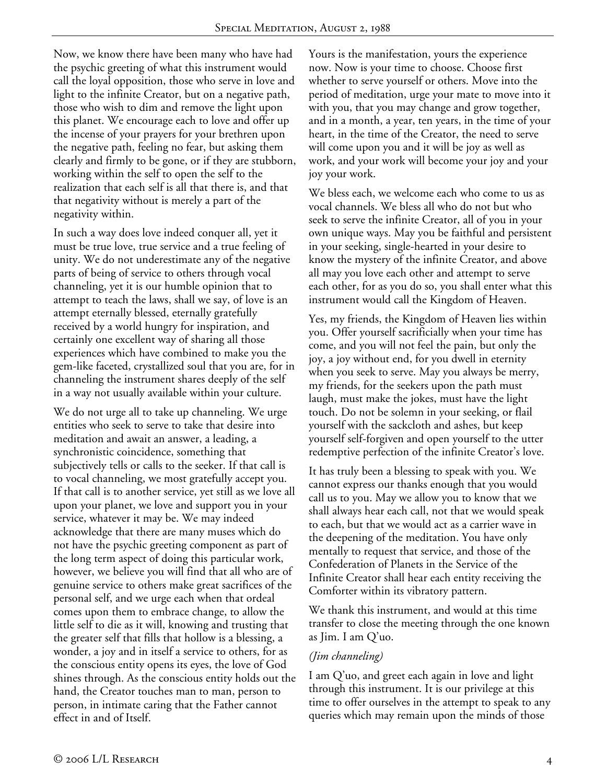Now, we know there have been many who have had the psychic greeting of what this instrument would call the loyal opposition, those who serve in love and light to the infinite Creator, but on a negative path, those who wish to dim and remove the light upon this planet. We encourage each to love and offer up the incense of your prayers for your brethren upon the negative path, feeling no fear, but asking them clearly and firmly to be gone, or if they are stubborn, working within the self to open the self to the realization that each self is all that there is, and that that negativity without is merely a part of the negativity within.

In such a way does love indeed conquer all, yet it must be true love, true service and a true feeling of unity. We do not underestimate any of the negative parts of being of service to others through vocal channeling, yet it is our humble opinion that to attempt to teach the laws, shall we say, of love is an attempt eternally blessed, eternally gratefully received by a world hungry for inspiration, and certainly one excellent way of sharing all those experiences which have combined to make you the gem-like faceted, crystallized soul that you are, for in channeling the instrument shares deeply of the self in a way not usually available within your culture.

We do not urge all to take up channeling. We urge entities who seek to serve to take that desire into meditation and await an answer, a leading, a synchronistic coincidence, something that subjectively tells or calls to the seeker. If that call is to vocal channeling, we most gratefully accept you. If that call is to another service, yet still as we love all upon your planet, we love and support you in your service, whatever it may be. We may indeed acknowledge that there are many muses which do not have the psychic greeting component as part of the long term aspect of doing this particular work, however, we believe you will find that all who are of genuine service to others make great sacrifices of the personal self, and we urge each when that ordeal comes upon them to embrace change, to allow the little self to die as it will, knowing and trusting that the greater self that fills that hollow is a blessing, a wonder, a joy and in itself a service to others, for as the conscious entity opens its eyes, the love of God shines through. As the conscious entity holds out the hand, the Creator touches man to man, person to person, in intimate caring that the Father cannot effect in and of Itself.

Yours is the manifestation, yours the experience now. Now is your time to choose. Choose first whether to serve yourself or others. Move into the period of meditation, urge your mate to move into it with you, that you may change and grow together, and in a month, a year, ten years, in the time of your heart, in the time of the Creator, the need to serve will come upon you and it will be joy as well as work, and your work will become your joy and your joy your work.

We bless each, we welcome each who come to us as vocal channels. We bless all who do not but who seek to serve the infinite Creator, all of you in your own unique ways. May you be faithful and persistent in your seeking, single-hearted in your desire to know the mystery of the infinite Creator, and above all may you love each other and attempt to serve each other, for as you do so, you shall enter what this instrument would call the Kingdom of Heaven.

Yes, my friends, the Kingdom of Heaven lies within you. Offer yourself sacrificially when your time has come, and you will not feel the pain, but only the joy, a joy without end, for you dwell in eternity when you seek to serve. May you always be merry, my friends, for the seekers upon the path must laugh, must make the jokes, must have the light touch. Do not be solemn in your seeking, or flail yourself with the sackcloth and ashes, but keep yourself self-forgiven and open yourself to the utter redemptive perfection of the infinite Creator's love.

It has truly been a blessing to speak with you. We cannot express our thanks enough that you would call us to you. May we allow you to know that we shall always hear each call, not that we would speak to each, but that we would act as a carrier wave in the deepening of the meditation. You have only mentally to request that service, and those of the Confederation of Planets in the Service of the Infinite Creator shall hear each entity receiving the Comforter within its vibratory pattern.

We thank this instrument, and would at this time transfer to close the meeting through the one known as Jim. I am Q'uo.

### *(Jim channeling)*

I am Q'uo, and greet each again in love and light through this instrument. It is our privilege at this time to offer ourselves in the attempt to speak to any queries which may remain upon the minds of those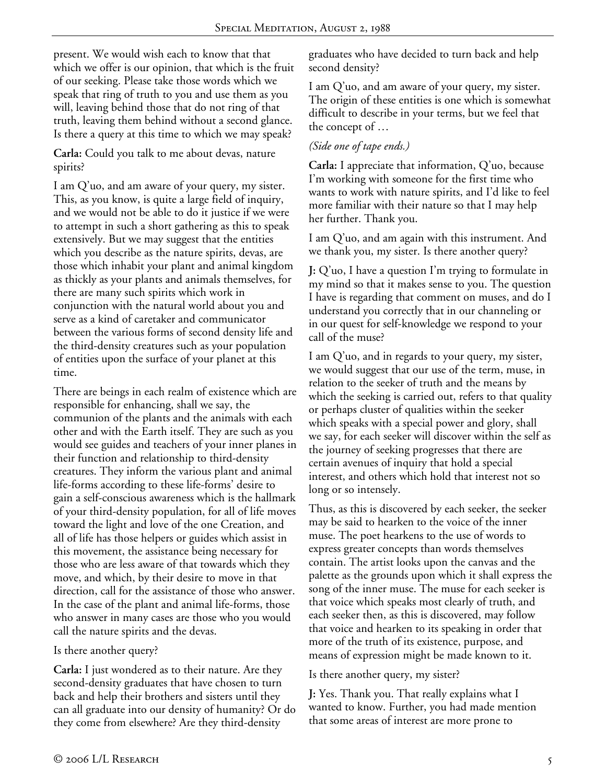present. We would wish each to know that that which we offer is our opinion, that which is the fruit of our seeking. Please take those words which we speak that ring of truth to you and use them as you will, leaving behind those that do not ring of that truth, leaving them behind without a second glance. Is there a query at this time to which we may speak?

**Carla:** Could you talk to me about devas, nature spirits?

I am Q'uo, and am aware of your query, my sister. This, as you know, is quite a large field of inquiry, and we would not be able to do it justice if we were to attempt in such a short gathering as this to speak extensively. But we may suggest that the entities which you describe as the nature spirits, devas, are those which inhabit your plant and animal kingdom as thickly as your plants and animals themselves, for there are many such spirits which work in conjunction with the natural world about you and serve as a kind of caretaker and communicator between the various forms of second density life and the third-density creatures such as your population of entities upon the surface of your planet at this time.

There are beings in each realm of existence which are responsible for enhancing, shall we say, the communion of the plants and the animals with each other and with the Earth itself. They are such as you would see guides and teachers of your inner planes in their function and relationship to third-density creatures. They inform the various plant and animal life-forms according to these life-forms' desire to gain a self-conscious awareness which is the hallmark of your third-density population, for all of life moves toward the light and love of the one Creation, and all of life has those helpers or guides which assist in this movement, the assistance being necessary for those who are less aware of that towards which they move, and which, by their desire to move in that direction, call for the assistance of those who answer. In the case of the plant and animal life-forms, those who answer in many cases are those who you would call the nature spirits and the devas.

#### Is there another query?

**Carla:** I just wondered as to their nature. Are they second-density graduates that have chosen to turn back and help their brothers and sisters until they can all graduate into our density of humanity? Or do they come from elsewhere? Are they third-density

graduates who have decided to turn back and help second density?

I am Q'uo, and am aware of your query, my sister. The origin of these entities is one which is somewhat difficult to describe in your terms, but we feel that the concept of …

# *(Side one of tape ends.)*

**Carla:** I appreciate that information, Q'uo, because I'm working with someone for the first time who wants to work with nature spirits, and I'd like to feel more familiar with their nature so that I may help her further. Thank you.

I am Q'uo, and am again with this instrument. And we thank you, my sister. Is there another query?

**J:** Q'uo, I have a question I'm trying to formulate in my mind so that it makes sense to you. The question I have is regarding that comment on muses, and do I understand you correctly that in our channeling or in our quest for self-knowledge we respond to your call of the muse?

I am Q'uo, and in regards to your query, my sister, we would suggest that our use of the term, muse, in relation to the seeker of truth and the means by which the seeking is carried out, refers to that quality or perhaps cluster of qualities within the seeker which speaks with a special power and glory, shall we say, for each seeker will discover within the self as the journey of seeking progresses that there are certain avenues of inquiry that hold a special interest, and others which hold that interest not so long or so intensely.

Thus, as this is discovered by each seeker, the seeker may be said to hearken to the voice of the inner muse. The poet hearkens to the use of words to express greater concepts than words themselves contain. The artist looks upon the canvas and the palette as the grounds upon which it shall express the song of the inner muse. The muse for each seeker is that voice which speaks most clearly of truth, and each seeker then, as this is discovered, may follow that voice and hearken to its speaking in order that more of the truth of its existence, purpose, and means of expression might be made known to it.

Is there another query, my sister?

**J:** Yes. Thank you. That really explains what I wanted to know. Further, you had made mention that some areas of interest are more prone to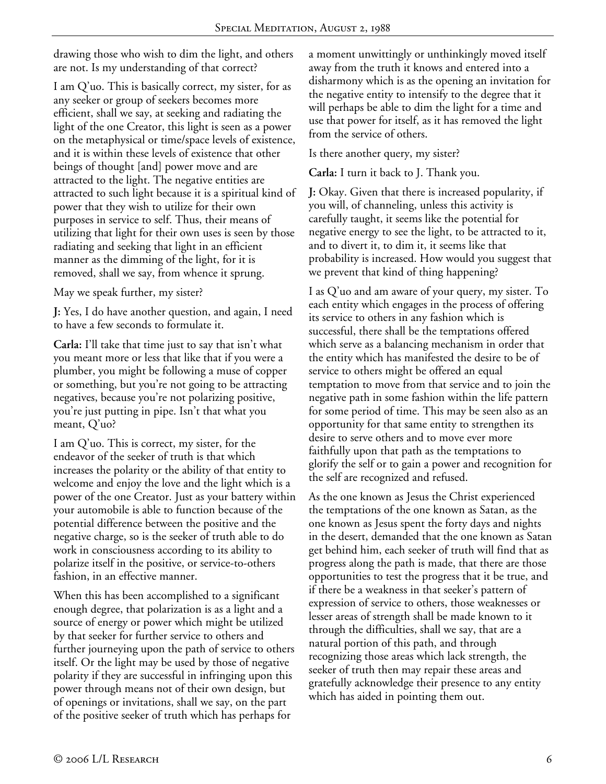drawing those who wish to dim the light, and others are not. Is my understanding of that correct?

I am Q'uo. This is basically correct, my sister, for as any seeker or group of seekers becomes more efficient, shall we say, at seeking and radiating the light of the one Creator, this light is seen as a power on the metaphysical or time/space levels of existence, and it is within these levels of existence that other beings of thought [and] power move and are attracted to the light. The negative entities are attracted to such light because it is a spiritual kind of power that they wish to utilize for their own purposes in service to self. Thus, their means of utilizing that light for their own uses is seen by those radiating and seeking that light in an efficient manner as the dimming of the light, for it is removed, shall we say, from whence it sprung.

May we speak further, my sister?

**J:** Yes, I do have another question, and again, I need to have a few seconds to formulate it.

**Carla:** I'll take that time just to say that isn't what you meant more or less that like that if you were a plumber, you might be following a muse of copper or something, but you're not going to be attracting negatives, because you're not polarizing positive, you're just putting in pipe. Isn't that what you meant, Q'uo?

I am Q'uo. This is correct, my sister, for the endeavor of the seeker of truth is that which increases the polarity or the ability of that entity to welcome and enjoy the love and the light which is a power of the one Creator. Just as your battery within your automobile is able to function because of the potential difference between the positive and the negative charge, so is the seeker of truth able to do work in consciousness according to its ability to polarize itself in the positive, or service-to-others fashion, in an effective manner.

When this has been accomplished to a significant enough degree, that polarization is as a light and a source of energy or power which might be utilized by that seeker for further service to others and further journeying upon the path of service to others itself. Or the light may be used by those of negative polarity if they are successful in infringing upon this power through means not of their own design, but of openings or invitations, shall we say, on the part of the positive seeker of truth which has perhaps for

a moment unwittingly or unthinkingly moved itself away from the truth it knows and entered into a disharmony which is as the opening an invitation for the negative entity to intensify to the degree that it will perhaps be able to dim the light for a time and use that power for itself, as it has removed the light from the service of others.

Is there another query, my sister?

**Carla:** I turn it back to J. Thank you.

**J:** Okay. Given that there is increased popularity, if you will, of channeling, unless this activity is carefully taught, it seems like the potential for negative energy to see the light, to be attracted to it, and to divert it, to dim it, it seems like that probability is increased. How would you suggest that we prevent that kind of thing happening?

I as Q'uo and am aware of your query, my sister. To each entity which engages in the process of offering its service to others in any fashion which is successful, there shall be the temptations offered which serve as a balancing mechanism in order that the entity which has manifested the desire to be of service to others might be offered an equal temptation to move from that service and to join the negative path in some fashion within the life pattern for some period of time. This may be seen also as an opportunity for that same entity to strengthen its desire to serve others and to move ever more faithfully upon that path as the temptations to glorify the self or to gain a power and recognition for the self are recognized and refused.

As the one known as Jesus the Christ experienced the temptations of the one known as Satan, as the one known as Jesus spent the forty days and nights in the desert, demanded that the one known as Satan get behind him, each seeker of truth will find that as progress along the path is made, that there are those opportunities to test the progress that it be true, and if there be a weakness in that seeker's pattern of expression of service to others, those weaknesses or lesser areas of strength shall be made known to it through the difficulties, shall we say, that are a natural portion of this path, and through recognizing those areas which lack strength, the seeker of truth then may repair these areas and gratefully acknowledge their presence to any entity which has aided in pointing them out.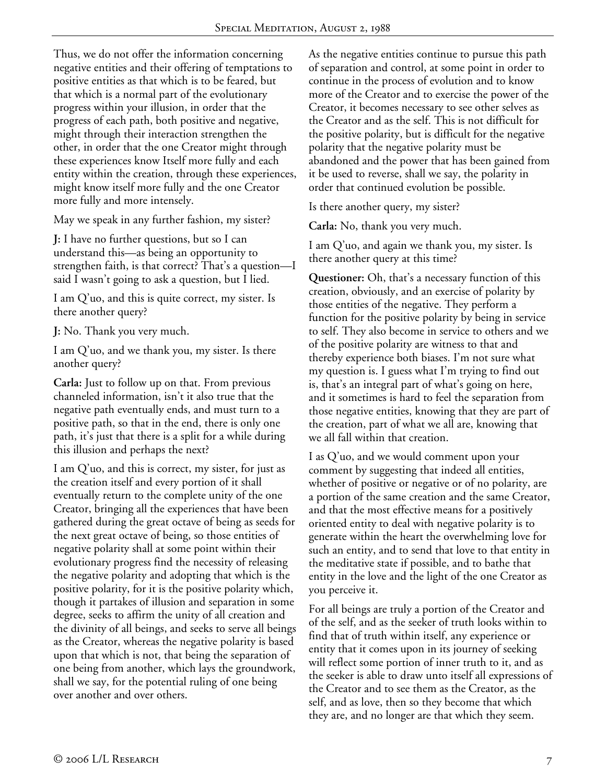Thus, we do not offer the information concerning negative entities and their offering of temptations to positive entities as that which is to be feared, but that which is a normal part of the evolutionary progress within your illusion, in order that the progress of each path, both positive and negative, might through their interaction strengthen the other, in order that the one Creator might through these experiences know Itself more fully and each entity within the creation, through these experiences, might know itself more fully and the one Creator more fully and more intensely.

May we speak in any further fashion, my sister?

**J:** I have no further questions, but so I can understand this—as being an opportunity to strengthen faith, is that correct? That's a question—I said I wasn't going to ask a question, but I lied.

I am Q'uo, and this is quite correct, my sister. Is there another query?

**J:** No. Thank you very much.

I am Q'uo, and we thank you, my sister. Is there another query?

**Carla:** Just to follow up on that. From previous channeled information, isn't it also true that the negative path eventually ends, and must turn to a positive path, so that in the end, there is only one path, it's just that there is a split for a while during this illusion and perhaps the next?

I am Q'uo, and this is correct, my sister, for just as the creation itself and every portion of it shall eventually return to the complete unity of the one Creator, bringing all the experiences that have been gathered during the great octave of being as seeds for the next great octave of being, so those entities of negative polarity shall at some point within their evolutionary progress find the necessity of releasing the negative polarity and adopting that which is the positive polarity, for it is the positive polarity which, though it partakes of illusion and separation in some degree, seeks to affirm the unity of all creation and the divinity of all beings, and seeks to serve all beings as the Creator, whereas the negative polarity is based upon that which is not, that being the separation of one being from another, which lays the groundwork, shall we say, for the potential ruling of one being over another and over others.

As the negative entities continue to pursue this path of separation and control, at some point in order to continue in the process of evolution and to know more of the Creator and to exercise the power of the Creator, it becomes necessary to see other selves as the Creator and as the self. This is not difficult for the positive polarity, but is difficult for the negative polarity that the negative polarity must be abandoned and the power that has been gained from it be used to reverse, shall we say, the polarity in order that continued evolution be possible.

Is there another query, my sister?

**Carla:** No, thank you very much.

I am Q'uo, and again we thank you, my sister. Is there another query at this time?

**Questioner:** Oh, that's a necessary function of this creation, obviously, and an exercise of polarity by those entities of the negative. They perform a function for the positive polarity by being in service to self. They also become in service to others and we of the positive polarity are witness to that and thereby experience both biases. I'm not sure what my question is. I guess what I'm trying to find out is, that's an integral part of what's going on here, and it sometimes is hard to feel the separation from those negative entities, knowing that they are part of the creation, part of what we all are, knowing that we all fall within that creation.

I as Q'uo, and we would comment upon your comment by suggesting that indeed all entities, whether of positive or negative or of no polarity, are a portion of the same creation and the same Creator, and that the most effective means for a positively oriented entity to deal with negative polarity is to generate within the heart the overwhelming love for such an entity, and to send that love to that entity in the meditative state if possible, and to bathe that entity in the love and the light of the one Creator as you perceive it.

For all beings are truly a portion of the Creator and of the self, and as the seeker of truth looks within to find that of truth within itself, any experience or entity that it comes upon in its journey of seeking will reflect some portion of inner truth to it, and as the seeker is able to draw unto itself all expressions of the Creator and to see them as the Creator, as the self, and as love, then so they become that which they are, and no longer are that which they seem.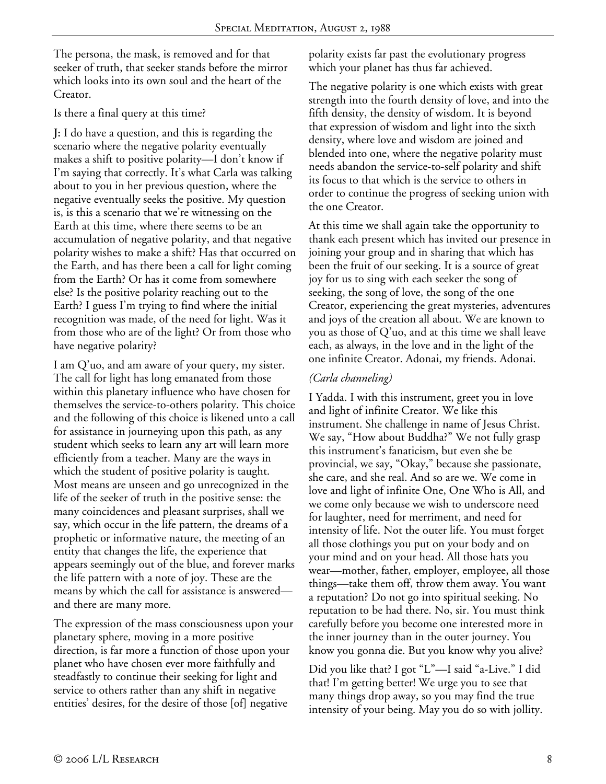The persona, the mask, is removed and for that seeker of truth, that seeker stands before the mirror which looks into its own soul and the heart of the Creator.

#### Is there a final query at this time?

**J:** I do have a question, and this is regarding the scenario where the negative polarity eventually makes a shift to positive polarity—I don't know if I'm saying that correctly. It's what Carla was talking about to you in her previous question, where the negative eventually seeks the positive. My question is, is this a scenario that we're witnessing on the Earth at this time, where there seems to be an accumulation of negative polarity, and that negative polarity wishes to make a shift? Has that occurred on the Earth, and has there been a call for light coming from the Earth? Or has it come from somewhere else? Is the positive polarity reaching out to the Earth? I guess I'm trying to find where the initial recognition was made, of the need for light. Was it from those who are of the light? Or from those who have negative polarity?

I am Q'uo, and am aware of your query, my sister. The call for light has long emanated from those within this planetary influence who have chosen for themselves the service-to-others polarity. This choice and the following of this choice is likened unto a call for assistance in journeying upon this path, as any student which seeks to learn any art will learn more efficiently from a teacher. Many are the ways in which the student of positive polarity is taught. Most means are unseen and go unrecognized in the life of the seeker of truth in the positive sense: the many coincidences and pleasant surprises, shall we say, which occur in the life pattern, the dreams of a prophetic or informative nature, the meeting of an entity that changes the life, the experience that appears seemingly out of the blue, and forever marks the life pattern with a note of joy. These are the means by which the call for assistance is answered and there are many more.

The expression of the mass consciousness upon your planetary sphere, moving in a more positive direction, is far more a function of those upon your planet who have chosen ever more faithfully and steadfastly to continue their seeking for light and service to others rather than any shift in negative entities' desires, for the desire of those [of] negative

polarity exists far past the evolutionary progress which your planet has thus far achieved.

The negative polarity is one which exists with great strength into the fourth density of love, and into the fifth density, the density of wisdom. It is beyond that expression of wisdom and light into the sixth density, where love and wisdom are joined and blended into one, where the negative polarity must needs abandon the service-to-self polarity and shift its focus to that which is the service to others in order to continue the progress of seeking union with the one Creator.

At this time we shall again take the opportunity to thank each present which has invited our presence in joining your group and in sharing that which has been the fruit of our seeking. It is a source of great joy for us to sing with each seeker the song of seeking, the song of love, the song of the one Creator, experiencing the great mysteries, adventures and joys of the creation all about. We are known to you as those of Q'uo, and at this time we shall leave each, as always, in the love and in the light of the one infinite Creator. Adonai, my friends. Adonai.

# *(Carla channeling)*

I Yadda. I with this instrument, greet you in love and light of infinite Creator. We like this instrument. She challenge in name of Jesus Christ. We say, "How about Buddha?" We not fully grasp this instrument's fanaticism, but even she be provincial, we say, "Okay," because she passionate, she care, and she real. And so are we. We come in love and light of infinite One, One Who is All, and we come only because we wish to underscore need for laughter, need for merriment, and need for intensity of life. Not the outer life. You must forget all those clothings you put on your body and on your mind and on your head. All those hats you wear—mother, father, employer, employee, all those things—take them off, throw them away. You want a reputation? Do not go into spiritual seeking. No reputation to be had there. No, sir. You must think carefully before you become one interested more in the inner journey than in the outer journey. You know you gonna die. But you know why you alive?

Did you like that? I got "L"—I said "a-Live." I did that! I'm getting better! We urge you to see that many things drop away, so you may find the true intensity of your being. May you do so with jollity.